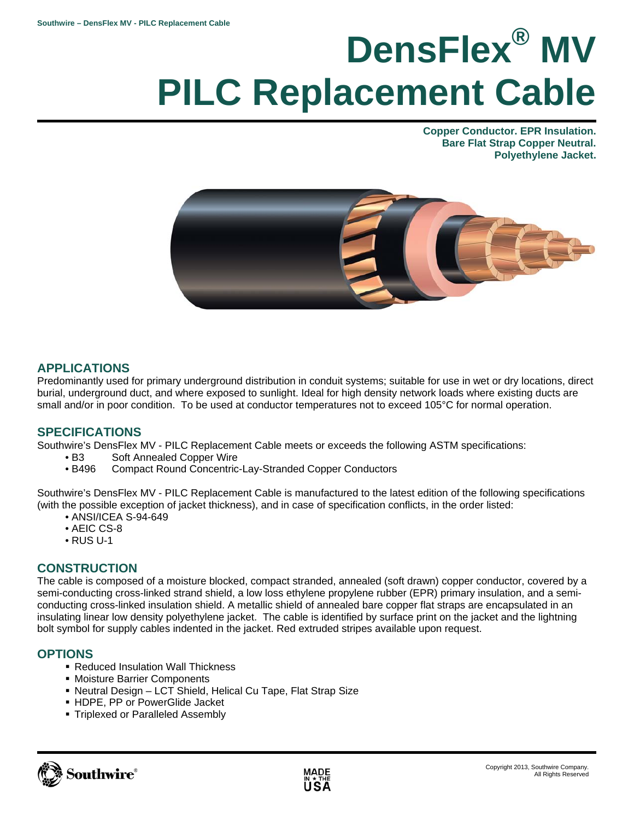# **DensFlex® MV PILC Replacement Cable**

**Copper Conductor. EPR Insulation. Bare Flat Strap Copper Neutral. Polyethylene Jacket.** 



# **APPLICATIONS**

Predominantly used for primary underground distribution in conduit systems; suitable for use in wet or dry locations, direct burial, underground duct, and where exposed to sunlight. Ideal for high density network loads where existing ducts are small and/or in poor condition. To be used at conductor temperatures not to exceed 105°C for normal operation.

### **SPECIFICATIONS**

Southwire's DensFlex MV - PILC Replacement Cable meets or exceeds the following ASTM specifications:

- B3 Soft Annealed Copper Wire
- B496 Compact Round Concentric-Lay-Stranded Copper Conductors

Southwire's DensFlex MV - PILC Replacement Cable is manufactured to the latest edition of the following specifications (with the possible exception of jacket thickness), and in case of specification conflicts, in the order listed:

- ANSI/ICEA S-94-649
- AEIC CS-8
- RUS U-1

# **CONSTRUCTION**

The cable is composed of a moisture blocked, compact stranded, annealed (soft drawn) copper conductor, covered by a semi-conducting cross-linked strand shield, a low loss ethylene propylene rubber (EPR) primary insulation, and a semiconducting cross-linked insulation shield. A metallic shield of annealed bare copper flat straps are encapsulated in an insulating linear low density polyethylene jacket. The cable is identified by surface print on the jacket and the lightning bolt symbol for supply cables indented in the jacket. Red extruded stripes available upon request.

### **OPTIONS**

- Reduced Insulation Wall Thickness
- Moisture Barrier Components
- Neutral Design LCT Shield, Helical Cu Tape, Flat Strap Size
- HDPE, PP or PowerGlide Jacket
- Triplexed or Paralleled Assembly